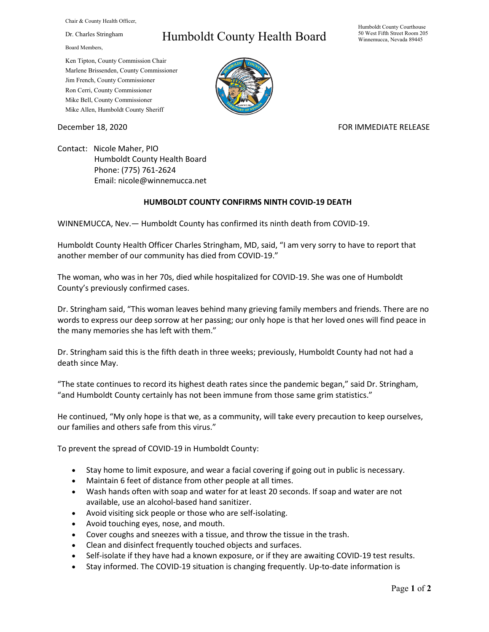Chair & County Health Officer,

Dr. Charles Stringham

Board Members,

## Humboldt County Health Board

Humboldt County Courthouse 50 West Fifth Street Room 205 Winnemucca, Nevada 89445

Ken Tipton, County Commission Chair Marlene Brissenden, County Commissioner Jim French, County Commissioner Ron Cerri, County Commissioner Mike Bell, County Commissioner Mike Allen, Humboldt County Sheriff

December 18, 2020 **FOR IMMEDIATE RELEASE** 

Contact: Nicole Maher, PIO Humboldt County Health Board Phone: (775) 761-2624 Email: nicole@winnemucca.net

## **HUMBOLDT COUNTY CONFIRMS NINTH COVID-19 DEATH**

WINNEMUCCA, Nev.— Humboldt County has confirmed its ninth death from COVID-19.

Humboldt County Health Officer Charles Stringham, MD, said, "I am very sorry to have to report that another member of our community has died from COVID-19."

The woman, who was in her 70s, died while hospitalized for COVID-19. She was one of Humboldt County's previously confirmed cases.

Dr. Stringham said, "This woman leaves behind many grieving family members and friends. There are no words to express our deep sorrow at her passing; our only hope is that her loved ones will find peace in the many memories she has left with them."

Dr. Stringham said this is the fifth death in three weeks; previously, Humboldt County had not had a death since May.

"The state continues to record its highest death rates since the pandemic began," said Dr. Stringham, "and Humboldt County certainly has not been immune from those same grim statistics."

He continued, "My only hope is that we, as a community, will take every precaution to keep ourselves, our families and others safe from this virus."

To prevent the spread of COVID-19 in Humboldt County:

- Stay home to limit exposure, and wear a facial covering if going out in public is necessary.
- Maintain 6 feet of distance from other people at all times.
- Wash hands often with soap and water for at least 20 seconds. If soap and water are not available, use an alcohol-based hand sanitizer.
- Avoid visiting sick people or those who are self-isolating.
- Avoid touching eyes, nose, and mouth.
- Cover coughs and sneezes with a tissue, and throw the tissue in the trash.
- Clean and disinfect frequently touched objects and surfaces.
- Self-isolate if they have had a known exposure, or if they are awaiting COVID-19 test results.
- Stay informed. The COVID-19 situation is changing frequently. Up-to-date information is